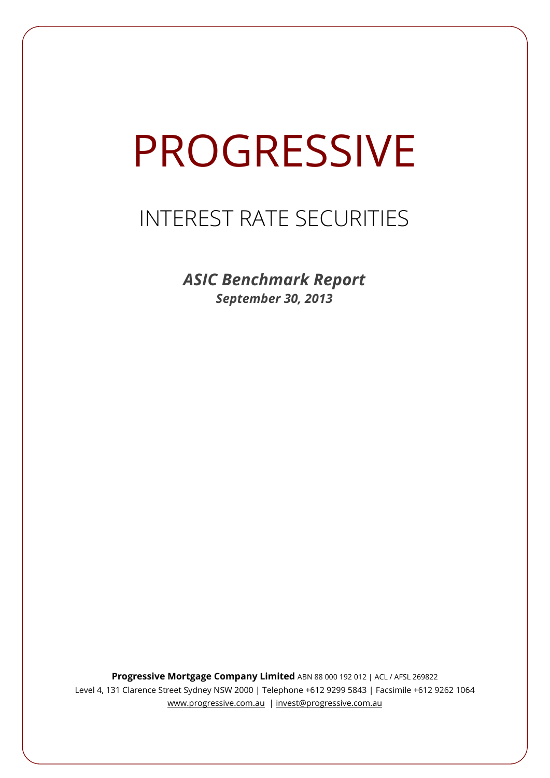# **PROGRESSIVE**

## INTEREST RATE SECURITIES

*ASIC Benchmark Report September 30, 2013*

**Progressive Mortgage Company Limited** ABN 88 000 192 012 | ACL / AFSL 269822 Level 4, 131 Clarence Street Sydney NSW 2000 | Telephone +612 9299 5843 | Facsimile +612 9262 1064 www.progressive.com.au | invest@progressive.com.au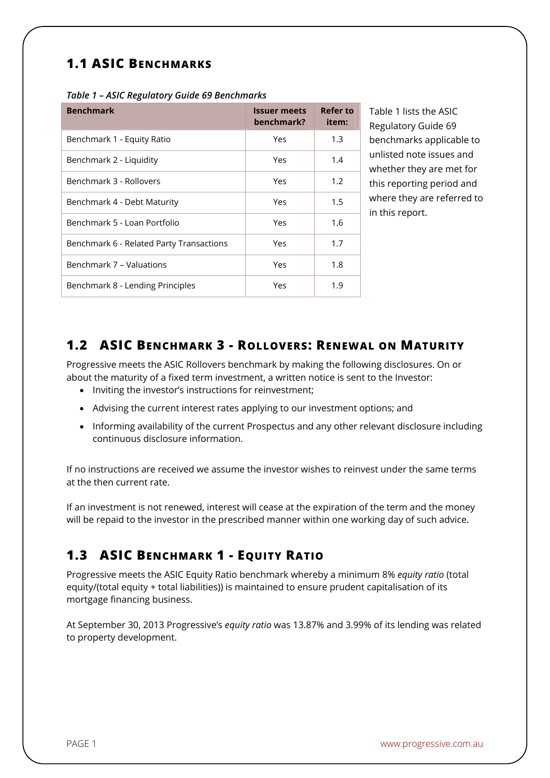## **1.1 ASIC BENCHMARKS**

| <b>Benchmark</b>                         | <b>Issuer meets</b><br>benchmark? | <b>Refer to</b><br>item: |
|------------------------------------------|-----------------------------------|--------------------------|
| Benchmark 1 - Equity Ratio               | Yes                               | 1.3                      |
| Benchmark 2 - Liquidity                  | Yes                               | 1.4                      |
| Benchmark 3 - Rollovers                  | Yes                               | 1.2                      |
| Benchmark 4 - Debt Maturity              | Yes                               | 1.5                      |
| Benchmark 5 - Loan Portfolio             | Yes                               | 1.6                      |
| Benchmark 6 - Related Party Transactions | Yes                               | 1.7                      |
| Benchmark 7 - Valuations                 | Yes                               | 1.8                      |
| Benchmark 8 - Lending Principles         | Yes                               | 1.9                      |

Table 1 lists the ASIC Regulatory Guide 69 benchmarks applicable to unlisted note issues and whether they are met for this reporting period and where they are referred to in this report.

### **1.2 ASIC BENCHMARK 3 - ROLLOVERS: RENEWAL ON MATURITY**

Progressive meets the ASIC Rollovers benchmark by making the following disclosures. On or about the maturity of a fixed term investment, a written notice is sent to the Investor:

- Inviting the investor's instructions for reinvestment;
- Advising the current interest rates applying to our investment options; and
- Informing availability of the current Prospectus and any other relevant disclosure including continuous disclosure information.

If no instructions are received we assume the investor wishes to reinvest under the same terms at the then current rate.

If an investment is not renewed, interest will cease at the expiration of the term and the money will be repaid to the investor in the prescribed manner within one working day of such advice.

## **1.3 ASIC BENCHMARK 1 - EQUITY RATIO**

Progressive meets the ASIC Equity Ratio benchmark whereby a minimum 8% *equity ratio* (total equity/(total equity + total liabilities)) is maintained to ensure prudent capitalisation of its mortgage financing business.

At September 30, 2013 Progressive's *equity ratio* was 13.87% and 3.99% of its lending was related to property development.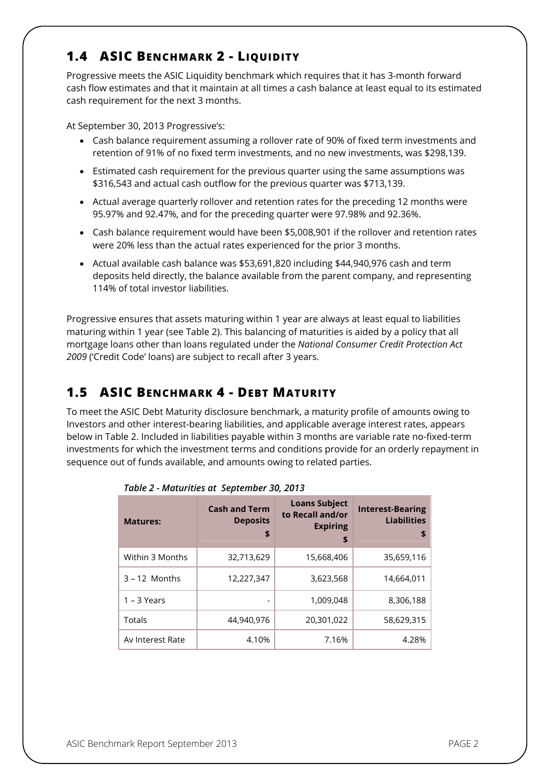## **1.4 ASIC BENCHMARK 2 - LIQUIDITY**

Progressive meets the ASIC Liquidity benchmark which requires that it has 3-month forward cash flow estimates and that it maintain at all times a cash balance at least equal to its estimated cash requirement for the next 3 months.

At September 30, 2013 Progressive's:

- Cash balance requirement assuming a rollover rate of 90% of fixed term investments and retention of 91% of no fixed term investments, and no new investments, was \$298,139.
- Estimated cash requirement for the previous quarter using the same assumptions was \$316,543 and actual cash outflow for the previous quarter was \$713,139.
- Actual average quarterly rollover and retention rates for the preceding 12 months were 95.97% and 92.47%, and for the preceding quarter were 97.98% and 92.36%.
- Cash balance requirement would have been \$5,008,901 if the rollover and retention rates were 20% less than the actual rates experienced for the prior 3 months.
- Actual available cash balance was \$53,691,820 including \$44,940,976 cash and term deposits held directly, the balance available from the parent company, and representing 114% of total investor liabilities.

Progressive ensures that assets maturing within 1 year are always at least equal to liabilities maturing within 1 year (see Table 2). This balancing of maturities is aided by a policy that all mortgage loans other than loans regulated under the *National Consumer Credit Protection Act 2009* ('Credit Code' loans) are subject to recall after 3 years.

## **1.5 ASIC BENCHMARK 4 - DEBT MATURITY**

To meet the ASIC Debt Maturity disclosure benchmark, a maturity profile of amounts owing to Investors and other interest-bearing liabilities, and applicable average interest rates, appears below in Table 2. Included in liabilities payable within 3 months are variable rate no-fixed-term investments for which the investment terms and conditions provide for an orderly repayment in sequence out of funds available, and amounts owing to related parties.

| <b>Matures:</b>  | <b>Cash and Term</b><br><b>Deposits</b><br>\$ | <b>Loans Subject</b><br>to Recall and/or<br><b>Expiring</b><br>\$ | <b>Interest-Bearing</b><br><b>Liabilities</b><br>\$ |
|------------------|-----------------------------------------------|-------------------------------------------------------------------|-----------------------------------------------------|
| Within 3 Months  | 32,713,629                                    | 15,668,406                                                        | 35,659,116                                          |
| $3 - 12$ Months  | 12,227,347                                    | 3.623.568                                                         | 14,664,011                                          |
| $1 - 3$ Years    | ٠                                             | 1,009,048                                                         | 8,306,188                                           |
| Totals           | 44,940,976                                    | 20,301,022                                                        | 58,629,315                                          |
| Av Interest Rate | 4.10%                                         | 7.16%                                                             | 4.28%                                               |

| Table 2 - Maturities at September 30, 2013 |  |
|--------------------------------------------|--|
|--------------------------------------------|--|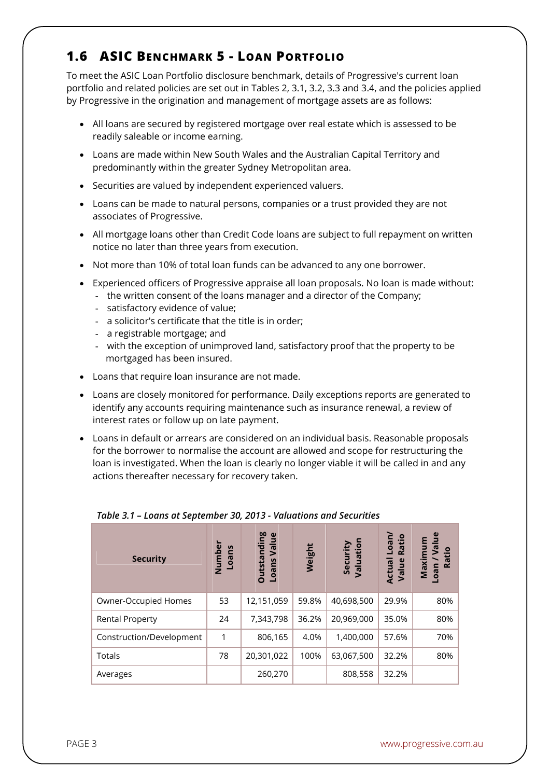## **1.6 ASIC BENCHMARK 5 - LOAN PORTFOLIO**

To meet the ASIC Loan Portfolio disclosure benchmark, details of Progressive's current loan portfolio and related policies are set out in Tables 2, 3.1, 3.2, 3.3 and 3.4, and the policies applied by Progressive in the origination and management of mortgage assets are as follows:

- All loans are secured by registered mortgage over real estate which is assessed to be readily saleable or income earning.
- Loans are made within New South Wales and the Australian Capital Territory and predominantly within the greater Sydney Metropolitan area.
- Securities are valued by independent experienced valuers.
- Loans can be made to natural persons, companies or a trust provided they are not associates of Progressive.
- All mortgage loans other than Credit Code loans are subject to full repayment on written notice no later than three years from execution.
- Not more than 10% of total loan funds can be advanced to any one borrower.
- Experienced officers of Progressive appraise all loan proposals. No loan is made without:
	- the written consent of the loans manager and a director of the Company;
	- satisfactory evidence of value;
	- a solicitor's certificate that the title is in order;
	- a registrable mortgage; and
	- with the exception of unimproved land, satisfactory proof that the property to be mortgaged has been insured.
- Loans that require loan insurance are not made.
- Loans are closely monitored for performance. Daily exceptions reports are generated to identify any accounts requiring maintenance such as insurance renewal, a review of interest rates or follow up on late payment.
- Loans in default or arrears are considered on an individual basis. Reasonable proposals for the borrower to normalise the account are allowed and scope for restructuring the loan is investigated. When the loan is clearly no longer viable it will be called in and any actions thereafter necessary for recovery taken.

| <b>Security</b>          | Number<br>Loans | <b>Outstanding</b><br>$\mathbf{\omega}$<br>Value<br>Loans | Weight | Security<br>Valuation | Loan/<br>Ratio<br>Actual<br>Value | $e$<br>Maximum<br>σN<br>Ratio<br><b>ueo</b> |
|--------------------------|-----------------|-----------------------------------------------------------|--------|-----------------------|-----------------------------------|---------------------------------------------|
| Owner-Occupied Homes     | 53              | 12,151,059                                                | 59.8%  | 40,698,500            | 29.9%                             | 80%                                         |
| <b>Rental Property</b>   | 24              | 7,343,798                                                 | 36.2%  | 20,969,000            | 35.0%                             | 80%                                         |
| Construction/Development | 1               | 806,165                                                   | 4.0%   | 1,400,000             | 57.6%                             | 70%                                         |
| <b>Totals</b>            | 78              | 20,301,022                                                | 100%   | 63,067,500            | 32.2%                             | 80%                                         |
| Averages                 |                 | 260,270                                                   |        | 808,558               | 32.2%                             |                                             |

#### *Table 3.1 – Loans at September 30, 2013 - Valuations and Securities*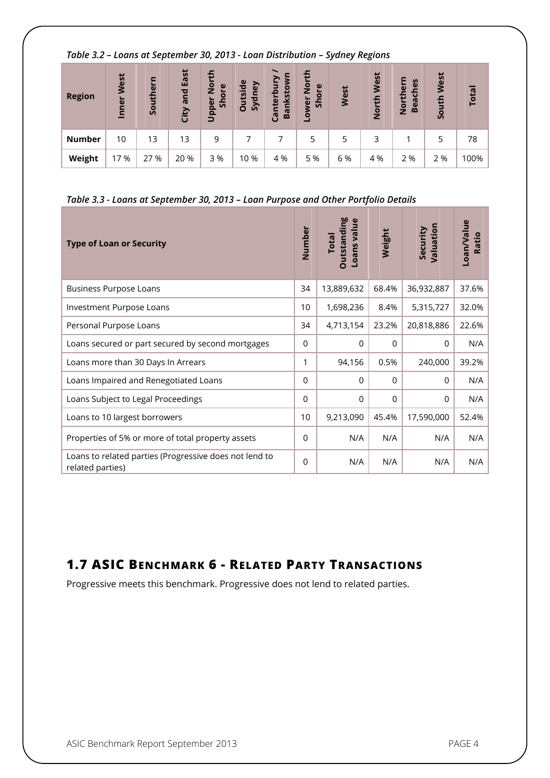| Table 3.2 – Loans at September 30, 2013 - Loan Distribution – Sydney Regions |            |          |                  |                                |                          |                        |                            |      |            |                            |            |              |
|------------------------------------------------------------------------------|------------|----------|------------------|--------------------------------|--------------------------|------------------------|----------------------------|------|------------|----------------------------|------------|--------------|
| <b>Region</b>                                                                | Inner West | Southern | and East<br>City | <b>North</b><br>Shore<br>Upper | <b>Dutside</b><br>Sydney | Bankstown<br>Canterbur | North<br>Shore<br>wer<br>Ó | West | North West | Northern<br><b>Beaches</b> | South West | <b>Total</b> |
| <b>Number</b>                                                                | 10         | 13       | 13               | 9                              |                          | 7                      | 5                          | 5    | 3          |                            | 5          | 78           |
| Weight                                                                       | 17 %       | 27 %     | 20 %             | 3 %                            | 10 %                     | 4 %                    | 5 %                        | 6 %  | 4 %        | 2 %                        | 2 %        | 100%         |

#### *Table 3.2 – Loans at September 30, 2013 - Loan Distribution – Sydney Regions*

## *Table 3.3 - Loans at September 30, 2013 – Loan Purpose and Other Portfolio Details*

| <b>Type of Loan or Security</b>                                            | Number   | <b>Outstanding</b><br>Loans value<br><b>Total</b> | Weight      | Valuation<br>Security | Loan/Value<br>Ratio |
|----------------------------------------------------------------------------|----------|---------------------------------------------------|-------------|-----------------------|---------------------|
| <b>Business Purpose Loans</b>                                              | 34       | 13,889,632                                        | 68.4%       | 36,932,887            | 37.6%               |
| Investment Purpose Loans                                                   | 10       | 1,698,236                                         | 8.4%        | 5,315,727             | 32.0%               |
| Personal Purpose Loans                                                     | 34       | 4,713,154                                         | 23.2%       | 20,818,886            | 22.6%               |
| Loans secured or part secured by second mortgages                          | $\Omega$ | $\Omega$                                          | $\mathbf 0$ | $\Omega$              | N/A                 |
| Loans more than 30 Days In Arrears                                         | 1        | 94,156                                            | 0.5%        | 240,000               | 39.2%               |
| Loans Impaired and Renegotiated Loans                                      | $\Omega$ | $\Omega$                                          | $\Omega$    | $\Omega$              | N/A                 |
| Loans Subject to Legal Proceedings                                         | $\Omega$ | $\mathbf 0$                                       | $\mathbf 0$ | 0                     | N/A                 |
| Loans to 10 largest borrowers                                              | 10       | 9,213,090                                         | 45.4%       | 17,590,000            | 52.4%               |
| Properties of 5% or more of total property assets                          | $\Omega$ | N/A                                               | N/A         | N/A                   | N/A                 |
| Loans to related parties (Progressive does not lend to<br>related parties) | $\Omega$ | N/A                                               | N/A         | N/A                   | N/A                 |

## **1.7 ASIC BENCHMARK 6 - RELATED PARTY TRANSACTIONS**

Progressive meets this benchmark. Progressive does not lend to related parties.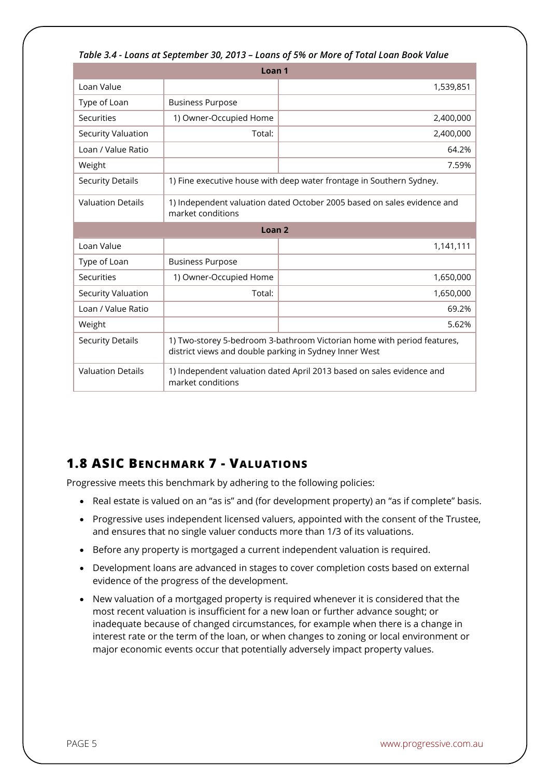| Table 3.4 - Loans at September 30, 2013 – Loans of 5% or More of Total Loan Book Value |                                                                                                                                   |           |  |  |  |  |
|----------------------------------------------------------------------------------------|-----------------------------------------------------------------------------------------------------------------------------------|-----------|--|--|--|--|
| Loan 1                                                                                 |                                                                                                                                   |           |  |  |  |  |
| Loan Value                                                                             |                                                                                                                                   | 1,539,851 |  |  |  |  |
| Type of Loan                                                                           | <b>Business Purpose</b>                                                                                                           |           |  |  |  |  |
| <b>Securities</b>                                                                      | 1) Owner-Occupied Home                                                                                                            | 2,400,000 |  |  |  |  |
| Security Valuation                                                                     | Total:                                                                                                                            | 2,400,000 |  |  |  |  |
| Loan / Value Ratio                                                                     |                                                                                                                                   | 64.2%     |  |  |  |  |
| Weight                                                                                 |                                                                                                                                   | 7.59%     |  |  |  |  |
| <b>Security Details</b>                                                                | 1) Fine executive house with deep water frontage in Southern Sydney.                                                              |           |  |  |  |  |
| <b>Valuation Details</b>                                                               | 1) Independent valuation dated October 2005 based on sales evidence and<br>market conditions                                      |           |  |  |  |  |
| Loan <sub>2</sub>                                                                      |                                                                                                                                   |           |  |  |  |  |
| Loan Value                                                                             |                                                                                                                                   | 1,141,111 |  |  |  |  |
| Type of Loan                                                                           | <b>Business Purpose</b>                                                                                                           |           |  |  |  |  |
| Securities                                                                             | 1) Owner-Occupied Home                                                                                                            | 1,650,000 |  |  |  |  |
| <b>Security Valuation</b>                                                              | Total:                                                                                                                            | 1,650,000 |  |  |  |  |
| Loan / Value Ratio                                                                     |                                                                                                                                   | 69.2%     |  |  |  |  |
| Weight                                                                                 |                                                                                                                                   | 5.62%     |  |  |  |  |
| <b>Security Details</b>                                                                | 1) Two-storey 5-bedroom 3-bathroom Victorian home with period features,<br>district views and double parking in Sydney Inner West |           |  |  |  |  |
| <b>Valuation Details</b>                                                               | 1) Independent valuation dated April 2013 based on sales evidence and<br>market conditions                                        |           |  |  |  |  |

#### *Table 3.4 - Loans at September 30, 2013 – Loans of 5% or More of Total Loan Book Value*

## **1.8 ASIC BENCHMARK 7 - VALUATIONS**

Progressive meets this benchmark by adhering to the following policies:

- Real estate is valued on an "as is" and (for development property) an "as if complete" basis.
- Progressive uses independent licensed valuers, appointed with the consent of the Trustee, and ensures that no single valuer conducts more than 1/3 of its valuations.
- Before any property is mortgaged a current independent valuation is required.
- Development loans are advanced in stages to cover completion costs based on external evidence of the progress of the development.
- New valuation of a mortgaged property is required whenever it is considered that the most recent valuation is insufficient for a new loan or further advance sought; or inadequate because of changed circumstances, for example when there is a change in interest rate or the term of the loan, or when changes to zoning or local environment or major economic events occur that potentially adversely impact property values.